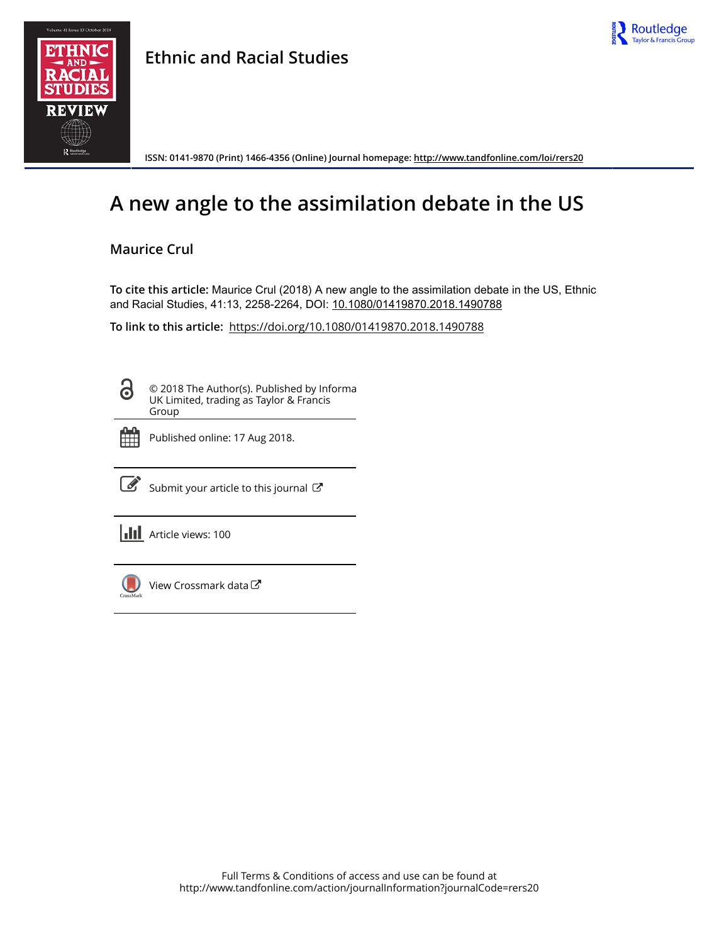



**ISSN: 0141-9870 (Print) 1466-4356 (Online) Journal homepage:<http://www.tandfonline.com/loi/rers20>**

# **A new angle to the assimilation debate in the US**

# **Maurice Crul**

**To cite this article:** Maurice Crul (2018) A new angle to the assimilation debate in the US, Ethnic and Racial Studies, 41:13, 2258-2264, DOI: [10.1080/01419870.2018.1490788](http://www.tandfonline.com/action/showCitFormats?doi=10.1080/01419870.2018.1490788)

**To link to this article:** <https://doi.org/10.1080/01419870.2018.1490788>

3

© 2018 The Author(s). Published by Informa UK Limited, trading as Taylor & Francis Group



Published online: 17 Aug 2018.



 $\overrightarrow{S}$  [Submit your article to this journal](http://www.tandfonline.com/action/authorSubmission?journalCode=rers20&show=instructions)  $\overrightarrow{S}$ 

**III** Article views: 100



[View Crossmark data](http://crossmark.crossref.org/dialog/?doi=10.1080/01419870.2018.1490788&domain=pdf&date_stamp=2018-08-17)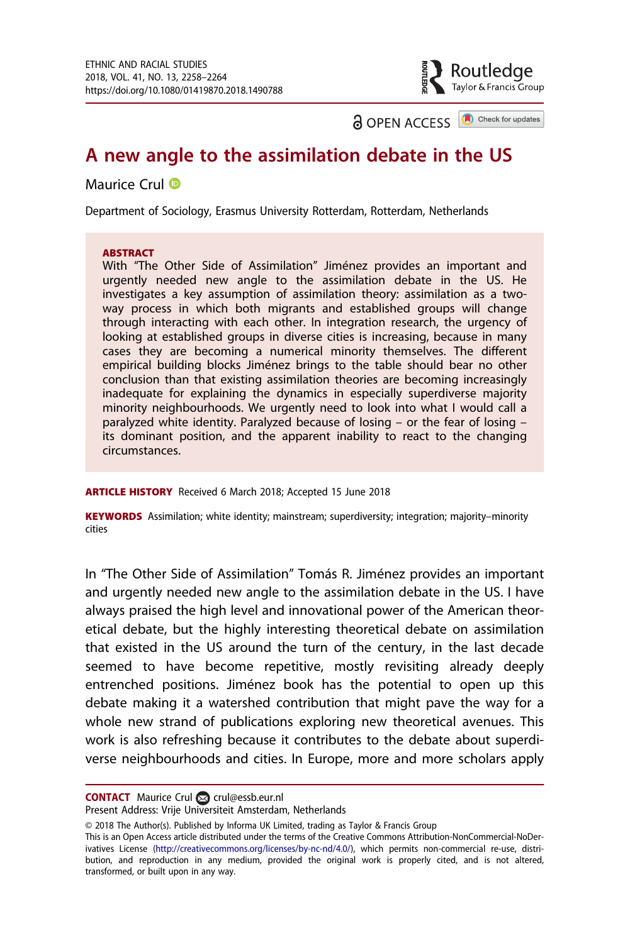

a OPEN ACCESS **B** Check for updates

# A new angle to the assimilation debate in the US

#### Maurice Crul<sup>®</sup>

Department of Sociology, Erasmus University Rotterdam, Rotterdam, Netherlands

#### **ABSTRACT**

With "The Other Side of Assimilation" Jiménez provides an important and urgently needed new angle to the assimilation debate in the US. He investigates a key assumption of assimilation theory: assimilation as a twoway process in which both migrants and established groups will change through interacting with each other. In integration research, the urgency of looking at established groups in diverse cities is increasing, because in many cases they are becoming a numerical minority themselves. The different empirical building blocks Jiménez brings to the table should bear no other conclusion than that existing assimilation theories are becoming increasingly inadequate for explaining the dynamics in especially superdiverse majority minority neighbourhoods. We urgently need to look into what I would call a paralyzed white identity. Paralyzed because of losing – or the fear of losing – its dominant position, and the apparent inability to react to the changing circumstances.

ARTICLE HISTORY Received 6 March 2018; Accepted 15 June 2018

KEYWORDS Assimilation; white identity; mainstream; superdiversity; integration; majority–minority cities

In "The Other Side of Assimilation" Tomás R. Jiménez provides an important and urgently needed new angle to the assimilation debate in the US. I have always praised the high level and innovational power of the American theoretical debate, but the highly interesting theoretical debate on assimilation that existed in the US around the turn of the century, in the last decade seemed to have become repetitive, mostly revisiting already deeply entrenched positions. Jiménez book has the potential to open up this debate making it a watershed contribution that might pave the way for a whole new strand of publications exploring new theoretical avenues. This work is also refreshing because it contributes to the debate about superdiverse neighbourhoods and cities. In Europe, more and more scholars apply

#### CONTACT Maurice Crul carul@essb.eur.nl

Present Address: Vrije Universiteit Amsterdam, Netherlands

© 2018 The Author(s). Published by Informa UK Limited, trading as Taylor & Francis Group

This is an Open Access article distributed under the terms of the Creative Commons Attribution-NonCommercial-NoDerivatives License [\(http://creativecommons.org/licenses/by-nc-nd/4.0/](http://creativecommons.org/licenses/by-nc-nd/4.0/)), which permits non-commercial re-use, distribution, and reproduction in any medium, provided the original work is properly cited, and is not altered, transformed, or built upon in any way.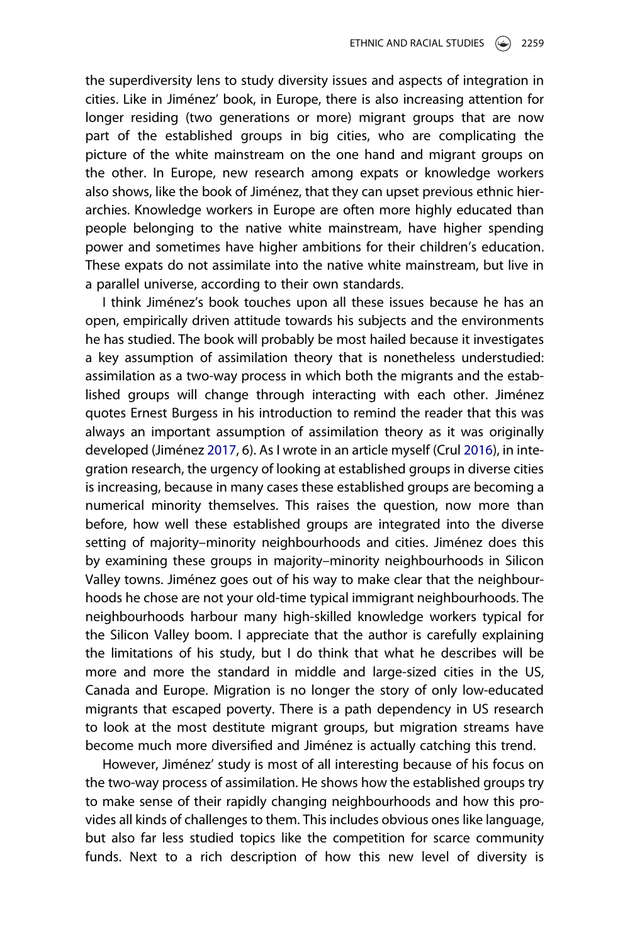<span id="page-2-0"></span>the superdiversity lens to study diversity issues and aspects of integration in cities. Like in Jiménez' book, in Europe, there is also increasing attention for longer residing (two generations or more) migrant groups that are now part of the established groups in big cities, who are complicating the picture of the white mainstream on the one hand and migrant groups on the other. In Europe, new research among expats or knowledge workers also shows, like the book of Jiménez, that they can upset previous ethnic hierarchies. Knowledge workers in Europe are often more highly educated than people belonging to the native white mainstream, have higher spending power and sometimes have higher ambitions for their children's education. These expats do not assimilate into the native white mainstream, but live in a parallel universe, according to their own standards.

I think Jiménez's book touches upon all these issues because he has an open, empirically driven attitude towards his subjects and the environments he has studied. The book will probably be most hailed because it investigates a key assumption of assimilation theory that is nonetheless understudied: assimilation as a two-way process in which both the migrants and the established groups will change through interacting with each other. Jiménez quotes Ernest Burgess in his introduction to remind the reader that this was always an important assumption of assimilation theory as it was originally developed (Jiménez [2017,](#page-7-0) 6). As I wrote in an article myself (Crul [2016](#page-7-0)), in integration research, the urgency of looking at established groups in diverse cities is increasing, because in many cases these established groups are becoming a numerical minority themselves. This raises the question, now more than before, how well these established groups are integrated into the diverse setting of majority–minority neighbourhoods and cities. Jiménez does this by examining these groups in majority–minority neighbourhoods in Silicon Valley towns. Jiménez goes out of his way to make clear that the neighbourhoods he chose are not your old-time typical immigrant neighbourhoods. The neighbourhoods harbour many high-skilled knowledge workers typical for the Silicon Valley boom. I appreciate that the author is carefully explaining the limitations of his study, but I do think that what he describes will be more and more the standard in middle and large-sized cities in the US, Canada and Europe. Migration is no longer the story of only low-educated migrants that escaped poverty. There is a path dependency in US research to look at the most destitute migrant groups, but migration streams have become much more diversified and Jiménez is actually catching this trend.

However, Jiménez' study is most of all interesting because of his focus on the two-way process of assimilation. He shows how the established groups try to make sense of their rapidly changing neighbourhoods and how this provides all kinds of challenges to them. This includes obvious ones like language, but also far less studied topics like the competition for scarce community funds. Next to a rich description of how this new level of diversity is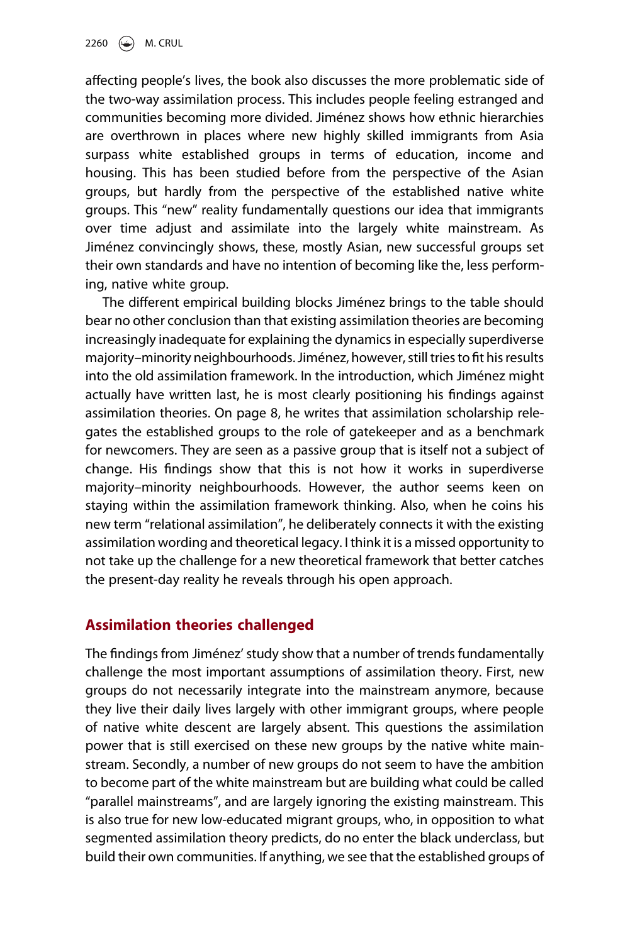affecting people's lives, the book also discusses the more problematic side of the two-way assimilation process. This includes people feeling estranged and communities becoming more divided. Jiménez shows how ethnic hierarchies are overthrown in places where new highly skilled immigrants from Asia surpass white established groups in terms of education, income and housing. This has been studied before from the perspective of the Asian groups, but hardly from the perspective of the established native white groups. This "new" reality fundamentally questions our idea that immigrants over time adjust and assimilate into the largely white mainstream. As Jiménez convincingly shows, these, mostly Asian, new successful groups set their own standards and have no intention of becoming like the, less performing, native white group.

The different empirical building blocks Jiménez brings to the table should bear no other conclusion than that existing assimilation theories are becoming increasingly inadequate for explaining the dynamics in especially superdiverse majority–minority neighbourhoods. Jiménez, however, still tries to fit his results into the old assimilation framework. In the introduction, which Jiménez might actually have written last, he is most clearly positioning his findings against assimilation theories. On page 8, he writes that assimilation scholarship relegates the established groups to the role of gatekeeper and as a benchmark for newcomers. They are seen as a passive group that is itself not a subject of change. His findings show that this is not how it works in superdiverse majority–minority neighbourhoods. However, the author seems keen on staying within the assimilation framework thinking. Also, when he coins his new term "relational assimilation", he deliberately connects it with the existing assimilation wording and theoretical legacy. I think it is a missed opportunity to not take up the challenge for a new theoretical framework that better catches the present-day reality he reveals through his open approach.

#### Assimilation theories challenged

The findings from Jiménez' study show that a number of trends fundamentally challenge the most important assumptions of assimilation theory. First, new groups do not necessarily integrate into the mainstream anymore, because they live their daily lives largely with other immigrant groups, where people of native white descent are largely absent. This questions the assimilation power that is still exercised on these new groups by the native white mainstream. Secondly, a number of new groups do not seem to have the ambition to become part of the white mainstream but are building what could be called "parallel mainstreams", and are largely ignoring the existing mainstream. This is also true for new low-educated migrant groups, who, in opposition to what segmented assimilation theory predicts, do no enter the black underclass, but build their own communities. If anything, we see that the established groups of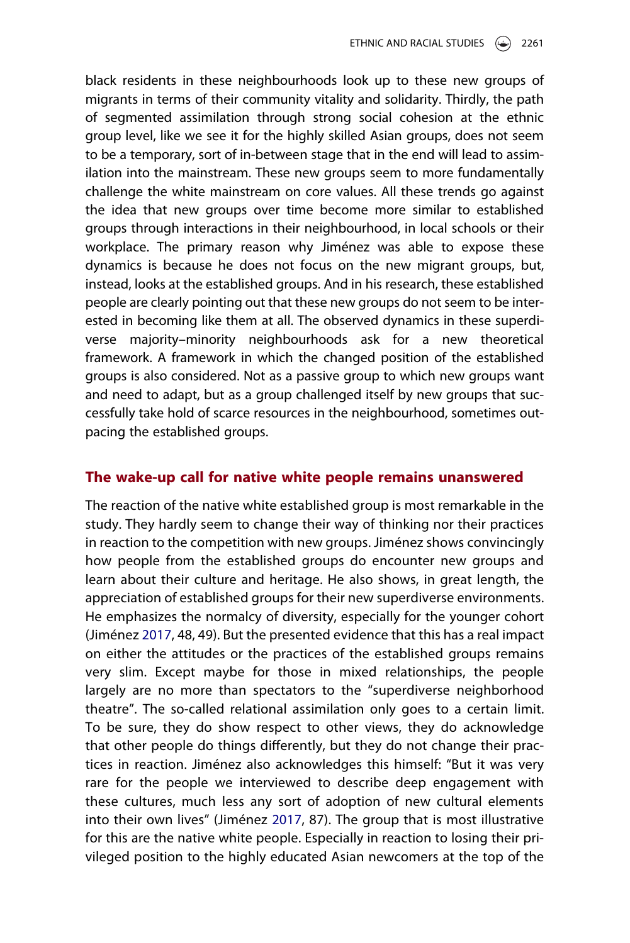black residents in these neighbourhoods look up to these new groups of migrants in terms of their community vitality and solidarity. Thirdly, the path of segmented assimilation through strong social cohesion at the ethnic group level, like we see it for the highly skilled Asian groups, does not seem to be a temporary, sort of in-between stage that in the end will lead to assimilation into the mainstream. These new groups seem to more fundamentally challenge the white mainstream on core values. All these trends go against the idea that new groups over time become more similar to established groups through interactions in their neighbourhood, in local schools or their workplace. The primary reason why Jiménez was able to expose these dynamics is because he does not focus on the new migrant groups, but, instead, looks at the established groups. And in his research, these established people are clearly pointing out that these new groups do not seem to be interested in becoming like them at all. The observed dynamics in these superdiverse majority–minority neighbourhoods ask for a new theoretical framework. A framework in which the changed position of the established groups is also considered. Not as a passive group to which new groups want and need to adapt, but as a group challenged itself by new groups that successfully take hold of scarce resources in the neighbourhood, sometimes outpacing the established groups.

#### The wake-up call for native white people remains unanswered

The reaction of the native white established group is most remarkable in the study. They hardly seem to change their way of thinking nor their practices in reaction to the competition with new groups. Jiménez shows convincingly how people from the established groups do encounter new groups and learn about their culture and heritage. He also shows, in great length, the appreciation of established groups for their new superdiverse environments. He emphasizes the normalcy of diversity, especially for the younger cohort (Jiménez [2017,](#page-7-0) 48, 49). But the presented evidence that this has a real impact on either the attitudes or the practices of the established groups remains very slim. Except maybe for those in mixed relationships, the people largely are no more than spectators to the "superdiverse neighborhood theatre". The so-called relational assimilation only goes to a certain limit. To be sure, they do show respect to other views, they do acknowledge that other people do things differently, but they do not change their practices in reaction. Jiménez also acknowledges this himself: "But it was very rare for the people we interviewed to describe deep engagement with these cultures, much less any sort of adoption of new cultural elements into their own lives" (Jiménez [2017](#page-7-0), 87). The group that is most illustrative for this are the native white people. Especially in reaction to losing their privileged position to the highly educated Asian newcomers at the top of the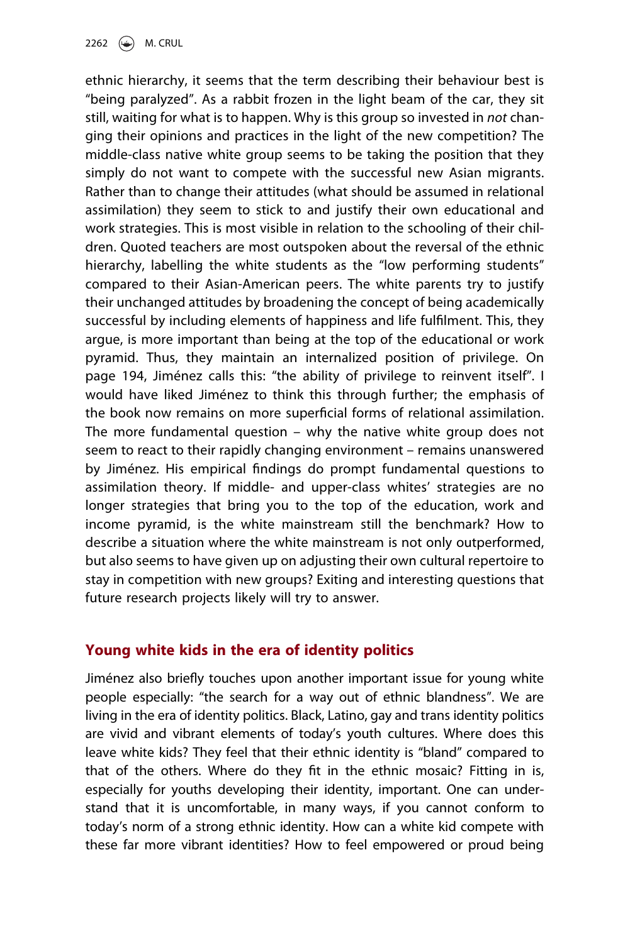2262 (a) M. CRUL

ethnic hierarchy, it seems that the term describing their behaviour best is "being paralyzed". As a rabbit frozen in the light beam of the car, they sit still, waiting for what is to happen. Why is this group so invested in not changing their opinions and practices in the light of the new competition? The middle-class native white group seems to be taking the position that they simply do not want to compete with the successful new Asian migrants. Rather than to change their attitudes (what should be assumed in relational assimilation) they seem to stick to and justify their own educational and work strategies. This is most visible in relation to the schooling of their children. Quoted teachers are most outspoken about the reversal of the ethnic hierarchy, labelling the white students as the "low performing students" compared to their Asian-American peers. The white parents try to justify their unchanged attitudes by broadening the concept of being academically successful by including elements of happiness and life fulfilment. This, they argue, is more important than being at the top of the educational or work pyramid. Thus, they maintain an internalized position of privilege. On page 194, Jiménez calls this: "the ability of privilege to reinvent itself". I would have liked Jiménez to think this through further; the emphasis of the book now remains on more superficial forms of relational assimilation. The more fundamental question – why the native white group does not seem to react to their rapidly changing environment – remains unanswered by Jiménez. His empirical findings do prompt fundamental questions to assimilation theory. If middle- and upper-class whites' strategies are no longer strategies that bring you to the top of the education, work and income pyramid, is the white mainstream still the benchmark? How to describe a situation where the white mainstream is not only outperformed, but also seems to have given up on adjusting their own cultural repertoire to stay in competition with new groups? Exiting and interesting questions that future research projects likely will try to answer.

## Young white kids in the era of identity politics

Jiménez also briefly touches upon another important issue for young white people especially: "the search for a way out of ethnic blandness". We are living in the era of identity politics. Black, Latino, gay and trans identity politics are vivid and vibrant elements of today's youth cultures. Where does this leave white kids? They feel that their ethnic identity is "bland" compared to that of the others. Where do they fit in the ethnic mosaic? Fitting in is, especially for youths developing their identity, important. One can understand that it is uncomfortable, in many ways, if you cannot conform to today's norm of a strong ethnic identity. How can a white kid compete with these far more vibrant identities? How to feel empowered or proud being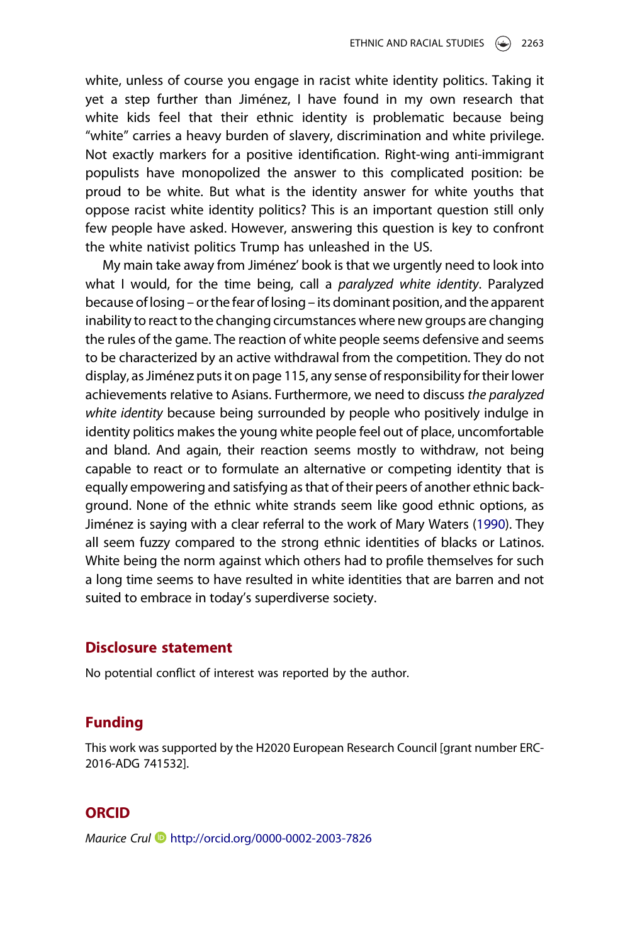<span id="page-6-0"></span>white, unless of course you engage in racist white identity politics. Taking it yet a step further than Jiménez, I have found in my own research that white kids feel that their ethnic identity is problematic because being "white" carries a heavy burden of slavery, discrimination and white privilege. Not exactly markers for a positive identification. Right-wing anti-immigrant populists have monopolized the answer to this complicated position: be proud to be white. But what is the identity answer for white youths that oppose racist white identity politics? This is an important question still only few people have asked. However, answering this question is key to confront the white nativist politics Trump has unleashed in the US.

My main take away from Jiménez' book is that we urgently need to look into what I would, for the time being, call a *paralyzed white identity*. Paralyzed because of losing – or the fear of losing – its dominant position, and the apparent inability to react to the changing circumstances where new groups are changing the rules of the game. The reaction of white people seems defensive and seems to be characterized by an active withdrawal from the competition. They do not display, as Jiménez puts it on page 115, any sense of responsibility for their lower achievements relative to Asians. Furthermore, we need to discuss the paralyzed white identity because being surrounded by people who positively indulge in identity politics makes the young white people feel out of place, uncomfortable and bland. And again, their reaction seems mostly to withdraw, not being capable to react or to formulate an alternative or competing identity that is equally empowering and satisfying as that of their peers of another ethnic background. None of the ethnic white strands seem like good ethnic options, as Jiménez is saying with a clear referral to the work of Mary Waters ([1990\)](#page-7-0). They all seem fuzzy compared to the strong ethnic identities of blacks or Latinos. White being the norm against which others had to profile themselves for such a long time seems to have resulted in white identities that are barren and not suited to embrace in today's superdiverse society.

#### Disclosure statement

No potential conflict of interest was reported by the author.

## Funding

This work was supported by the H2020 European Research Council [grant number ERC-2016-ADG 741532].

#### **ORCID**

Maurice Crul D <http://orcid.org/0000-0002-2003-7826>